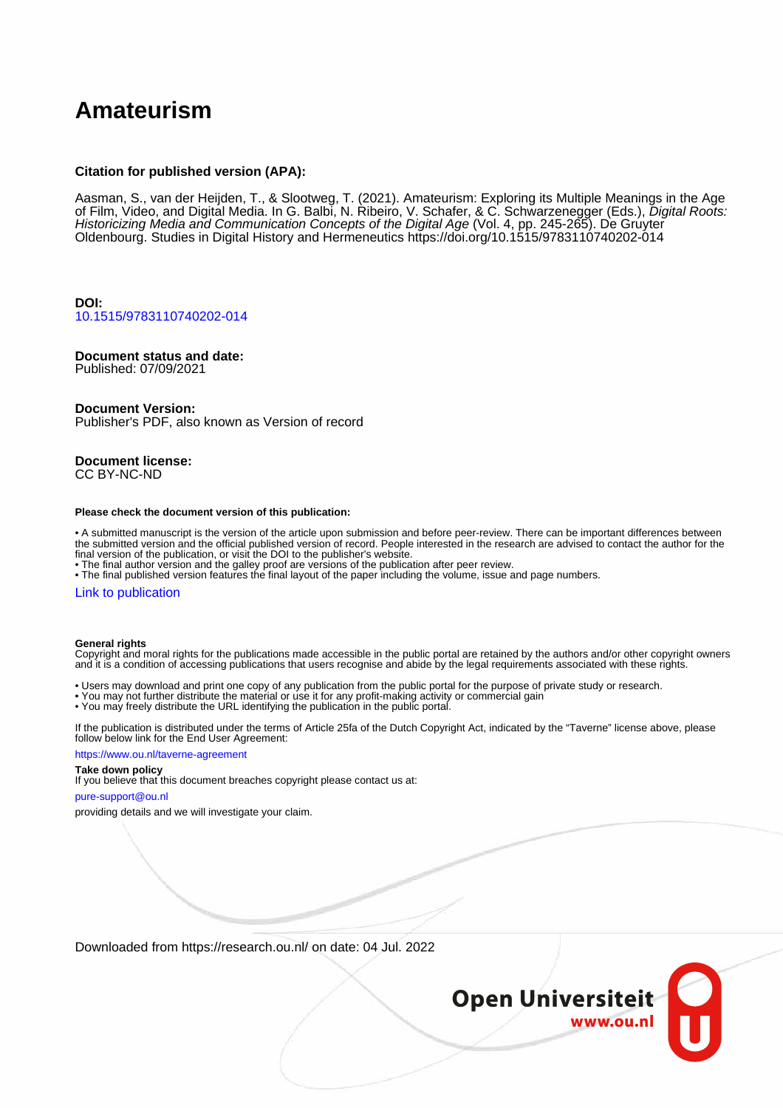# **Amateurism**

### **Citation for published version (APA):**

Aasman, S., van der Heijden, T., & Slootweg, T. (2021). Amateurism: Exploring its Multiple Meanings in the Age of Film, Video, and Digital Media. In G. Balbi, N. Ribeiro, V. Schafer, & C. Schwarzenegger (Eds.), *Digital Roots:* Historicizing Media and Communication Concepts of the Digital Age (Vol. 4, pp. 245-265). De Gruyter Oldenbourg. Studies in Digital History and Hermeneutics <https://doi.org/10.1515/9783110740202-014>

**DOI:** [10.1515/9783110740202-014](https://doi.org/10.1515/9783110740202-014)

## **Document status and date:**

Published: 07/09/2021

### **Document Version:**

Publisher's PDF, also known as Version of record

### **Document license:** CC BY-NC-ND

#### **Please check the document version of this publication:**

• A submitted manuscript is the version of the article upon submission and before peer-review. There can be important differences between the submitted version and the official published version of record. People interested in the research are advised to contact the author for the final version of the publication, or visit the DOI to the publisher's website.

• The final author version and the galley proof are versions of the publication after peer review.

• The final published version features the final layout of the paper including the volume, issue and page numbers.

### [Link to publication](https://research.ou.nl/en/publications/b283bf2b-7839-4562-b943-93932ef44fcd)

#### **General rights**

Copyright and moral rights for the publications made accessible in the public portal are retained by the authors and/or other copyright owners and it is a condition of accessing publications that users recognise and abide by the legal requirements associated with these rights.

- Users may download and print one copy of any publication from the public portal for the purpose of private study or research.
- You may not further distribute the material or use it for any profit-making activity or commercial gain
- You may freely distribute the URL identifying the publication in the public portal.

If the publication is distributed under the terms of Article 25fa of the Dutch Copyright Act, indicated by the "Taverne" license above, please follow below link for the End User Agreement:

#### https://www.ou.nl/taverne-agreement

### **Take down policy**

If you believe that this document breaches copyright please contact us at:

#### pure-support@ou.nl

providing details and we will investigate your claim.

Downloaded from https://research.ou.nl/ on date: 04 Jul. 2022

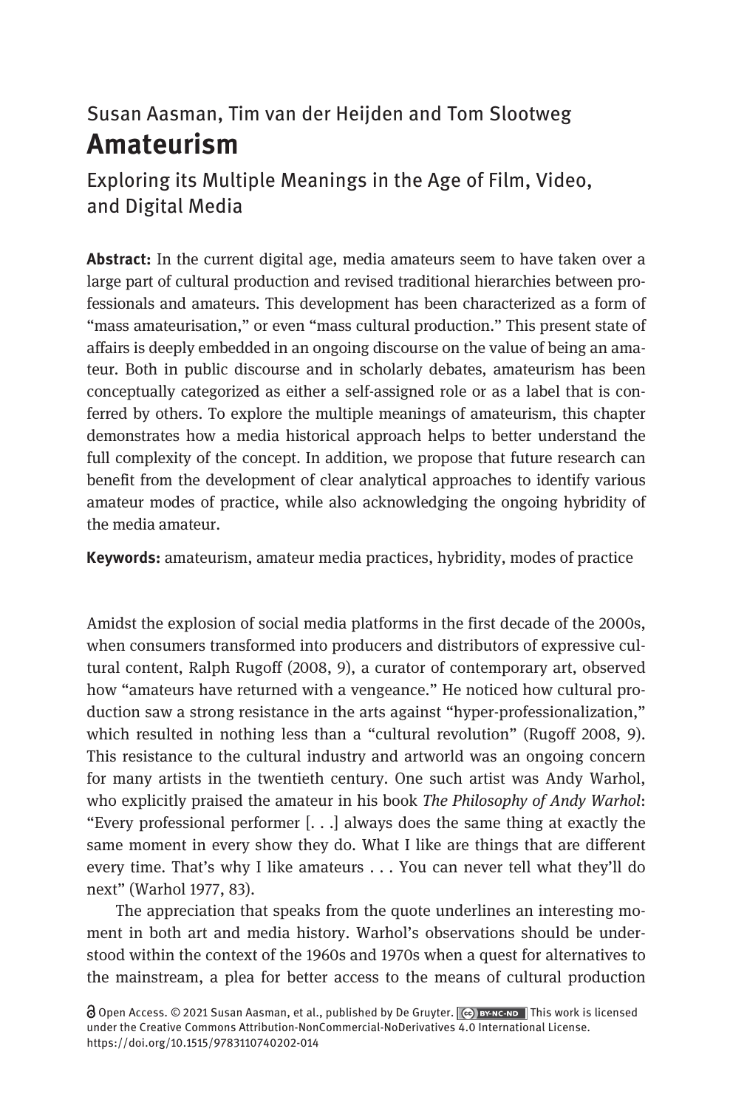# Susan Aasman, Tim van der Heijden and Tom Slootweg Amateurism

Exploring its Multiple Meanings in the Age of Film, Video, and Digital Media

Abstract: In the current digital age, media amateurs seem to have taken over a large part of cultural production and revised traditional hierarchies between professionals and amateurs. This development has been characterized as a form of "mass amateurisation," or even "mass cultural production." This present state of affairs is deeply embedded in an ongoing discourse on the value of being an amateur. Both in public discourse and in scholarly debates, amateurism has been conceptually categorized as either a self-assigned role or as a label that is conferred by others. To explore the multiple meanings of amateurism, this chapter demonstrates how a media historical approach helps to better understand the full complexity of the concept. In addition, we propose that future research can benefit from the development of clear analytical approaches to identify various amateur modes of practice, while also acknowledging the ongoing hybridity of the media amateur.

Keywords: amateurism, amateur media practices, hybridity, modes of practice

Amidst the explosion of social media platforms in the first decade of the 2000s, when consumers transformed into producers and distributors of expressive cultural content, Ralph Rugoff (2008, 9), a curator of contemporary art, observed how "amateurs have returned with a vengeance." He noticed how cultural production saw a strong resistance in the arts against "hyper-professionalization," which resulted in nothing less than a "cultural revolution" (Rugoff 2008, 9). This resistance to the cultural industry and artworld was an ongoing concern for many artists in the twentieth century. One such artist was Andy Warhol, who explicitly praised the amateur in his book The Philosophy of Andy Warhol: "Every professional performer [. . .] always does the same thing at exactly the same moment in every show they do. What I like are things that are different every time. That's why I like amateurs . . . You can never tell what they'll do next" (Warhol 1977, 83).

The appreciation that speaks from the quote underlines an interesting moment in both art and media history. Warhol's observations should be understood within the context of the 1960s and 1970s when a quest for alternatives to the mainstream, a plea for better access to the means of cultural production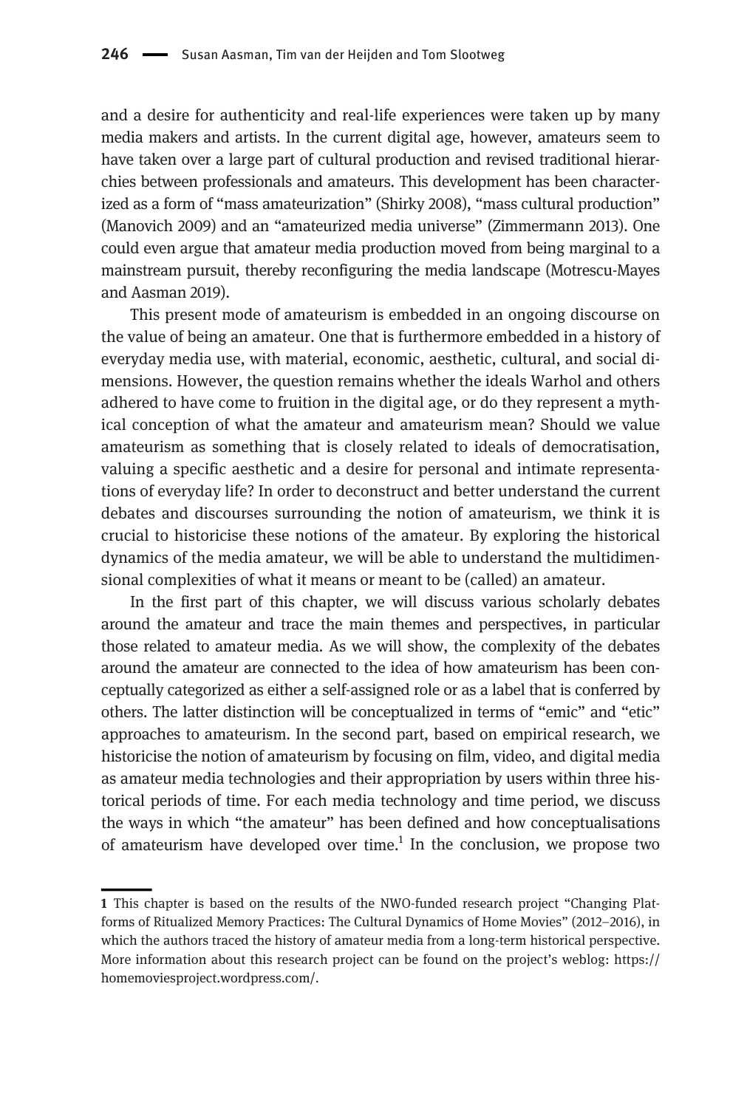and a desire for authenticity and real-life experiences were taken up by many media makers and artists. In the current digital age, however, amateurs seem to have taken over a large part of cultural production and revised traditional hierarchies between professionals and amateurs. This development has been characterized as a form of "mass amateurization" (Shirky 2008), "mass cultural production" (Manovich 2009) and an "amateurized media universe" (Zimmermann 2013). One could even argue that amateur media production moved from being marginal to a mainstream pursuit, thereby reconfiguring the media landscape (Motrescu-Mayes and Aasman 2019).

This present mode of amateurism is embedded in an ongoing discourse on the value of being an amateur. One that is furthermore embedded in a history of everyday media use, with material, economic, aesthetic, cultural, and social dimensions. However, the question remains whether the ideals Warhol and others adhered to have come to fruition in the digital age, or do they represent a mythical conception of what the amateur and amateurism mean? Should we value amateurism as something that is closely related to ideals of democratisation, valuing a specific aesthetic and a desire for personal and intimate representations of everyday life? In order to deconstruct and better understand the current debates and discourses surrounding the notion of amateurism, we think it is crucial to historicise these notions of the amateur. By exploring the historical dynamics of the media amateur, we will be able to understand the multidimensional complexities of what it means or meant to be (called) an amateur.

In the first part of this chapter, we will discuss various scholarly debates around the amateur and trace the main themes and perspectives, in particular those related to amateur media. As we will show, the complexity of the debates around the amateur are connected to the idea of how amateurism has been conceptually categorized as either a self-assigned role or as a label that is conferred by others. The latter distinction will be conceptualized in terms of "emic" and "etic" approaches to amateurism. In the second part, based on empirical research, we historicise the notion of amateurism by focusing on film, video, and digital media as amateur media technologies and their appropriation by users within three historical periods of time. For each media technology and time period, we discuss the ways in which "the amateur" has been defined and how conceptualisations of amateurism have developed over time.<sup>1</sup> In the conclusion, we propose two

<sup>1</sup> This chapter is based on the results of the NWO-funded research project "Changing Platforms of Ritualized Memory Practices: The Cultural Dynamics of Home Movies" (2012–2016), in which the authors traced the history of amateur media from a long-term historical perspective. More information about this research project can be found on the project's weblog: [https://](https://homemoviesproject.wordpress.com/) [homemoviesproject.wordpress.com/.](https://homemoviesproject.wordpress.com/)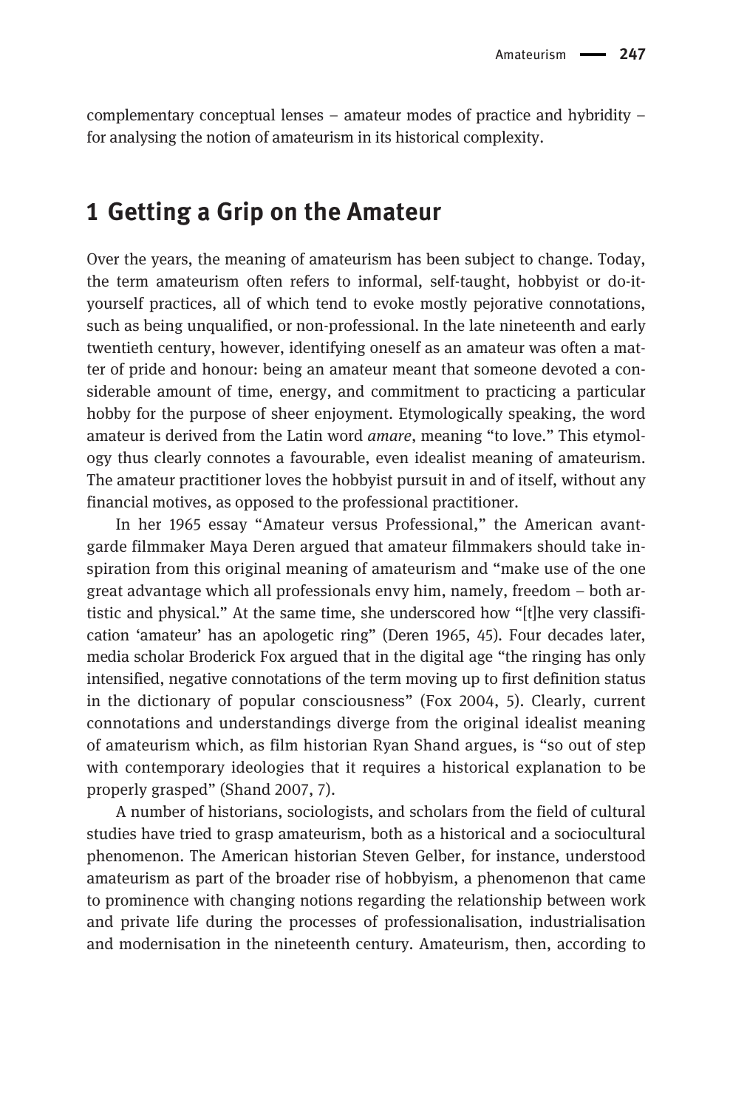complementary conceptual lenses – amateur modes of practice and hybridity – for analysing the notion of amateurism in its historical complexity.

## 1 Getting a Grip on the Amateur

Over the years, the meaning of amateurism has been subject to change. Today, the term amateurism often refers to informal, self-taught, hobbyist or do-ityourself practices, all of which tend to evoke mostly pejorative connotations, such as being unqualified, or non-professional. In the late nineteenth and early twentieth century, however, identifying oneself as an amateur was often a matter of pride and honour: being an amateur meant that someone devoted a considerable amount of time, energy, and commitment to practicing a particular hobby for the purpose of sheer enjoyment. Etymologically speaking, the word amateur is derived from the Latin word amare, meaning "to love." This etymology thus clearly connotes a favourable, even idealist meaning of amateurism. The amateur practitioner loves the hobbyist pursuit in and of itself, without any financial motives, as opposed to the professional practitioner.

In her 1965 essay "Amateur versus Professional," the American avantgarde filmmaker Maya Deren argued that amateur filmmakers should take inspiration from this original meaning of amateurism and "make use of the one great advantage which all professionals envy him, namely, freedom – both artistic and physical." At the same time, she underscored how "[t]he very classification 'amateur' has an apologetic ring" (Deren 1965, 45). Four decades later, media scholar Broderick Fox argued that in the digital age "the ringing has only intensified, negative connotations of the term moving up to first definition status in the dictionary of popular consciousness" (Fox 2004, 5). Clearly, current connotations and understandings diverge from the original idealist meaning of amateurism which, as film historian Ryan Shand argues, is "so out of step with contemporary ideologies that it requires a historical explanation to be properly grasped" (Shand 2007, 7).

A number of historians, sociologists, and scholars from the field of cultural studies have tried to grasp amateurism, both as a historical and a sociocultural phenomenon. The American historian Steven Gelber, for instance, understood amateurism as part of the broader rise of hobbyism, a phenomenon that came to prominence with changing notions regarding the relationship between work and private life during the processes of professionalisation, industrialisation and modernisation in the nineteenth century. Amateurism, then, according to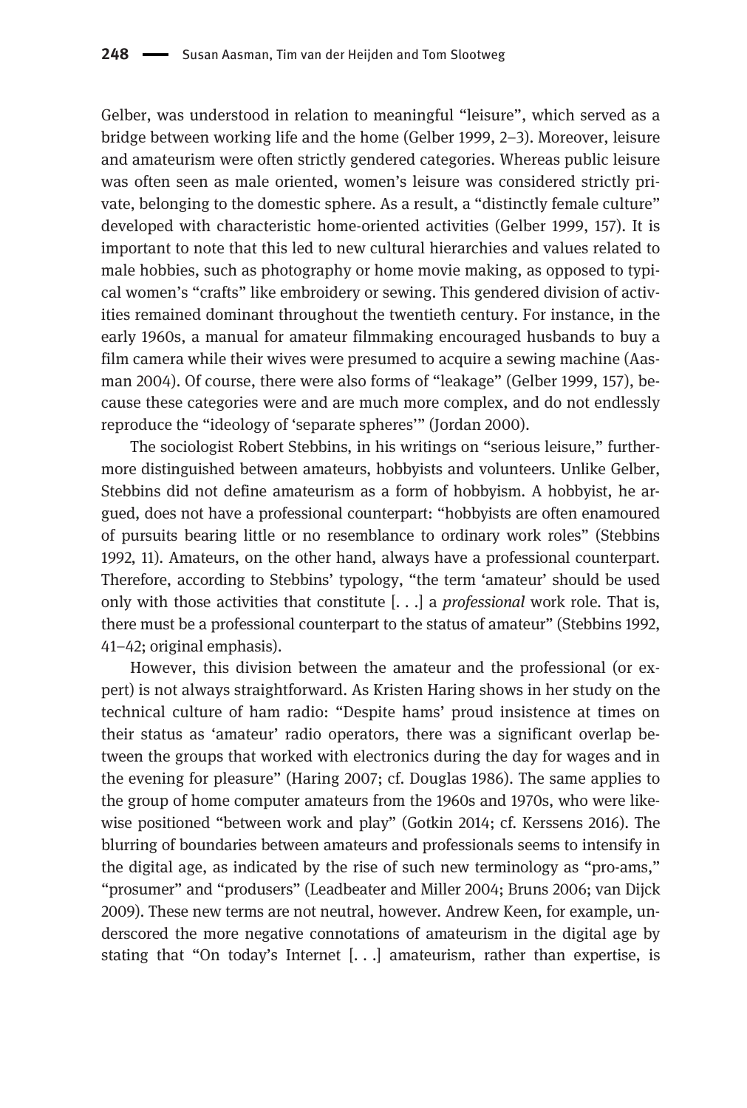Gelber, was understood in relation to meaningful "leisure", which served as a bridge between working life and the home (Gelber 1999, 2–3). Moreover, leisure and amateurism were often strictly gendered categories. Whereas public leisure was often seen as male oriented, women's leisure was considered strictly private, belonging to the domestic sphere. As a result, a "distinctly female culture" developed with characteristic home-oriented activities (Gelber 1999, 157). It is important to note that this led to new cultural hierarchies and values related to male hobbies, such as photography or home movie making, as opposed to typical women's "crafts" like embroidery or sewing. This gendered division of activities remained dominant throughout the twentieth century. For instance, in the early 1960s, a manual for amateur filmmaking encouraged husbands to buy a film camera while their wives were presumed to acquire a sewing machine (Aasman 2004). Of course, there were also forms of "leakage" (Gelber 1999, 157), because these categories were and are much more complex, and do not endlessly reproduce the "ideology of 'separate spheres'" (Jordan 2000).

The sociologist Robert Stebbins, in his writings on "serious leisure," furthermore distinguished between amateurs, hobbyists and volunteers. Unlike Gelber, Stebbins did not define amateurism as a form of hobbyism. A hobbyist, he argued, does not have a professional counterpart: "hobbyists are often enamoured of pursuits bearing little or no resemblance to ordinary work roles" (Stebbins 1992, 11). Amateurs, on the other hand, always have a professional counterpart. Therefore, according to Stebbins' typology, "the term 'amateur' should be used only with those activities that constitute  $[...]$  a *professional* work role. That is, there must be a professional counterpart to the status of amateur" (Stebbins 1992, 41–42; original emphasis).

However, this division between the amateur and the professional (or expert) is not always straightforward. As Kristen Haring shows in her study on the technical culture of ham radio: "Despite hams' proud insistence at times on their status as 'amateur' radio operators, there was a significant overlap between the groups that worked with electronics during the day for wages and in the evening for pleasure" (Haring 2007; cf. Douglas 1986). The same applies to the group of home computer amateurs from the 1960s and 1970s, who were likewise positioned "between work and play" (Gotkin 2014; cf. Kerssens 2016). The blurring of boundaries between amateurs and professionals seems to intensify in the digital age, as indicated by the rise of such new terminology as "pro-ams," "prosumer" and "produsers" (Leadbeater and Miller 2004; Bruns 2006; van Dijck 2009). These new terms are not neutral, however. Andrew Keen, for example, underscored the more negative connotations of amateurism in the digital age by stating that "On today's Internet  $[ \ldots ]$  amateurism, rather than expertise, is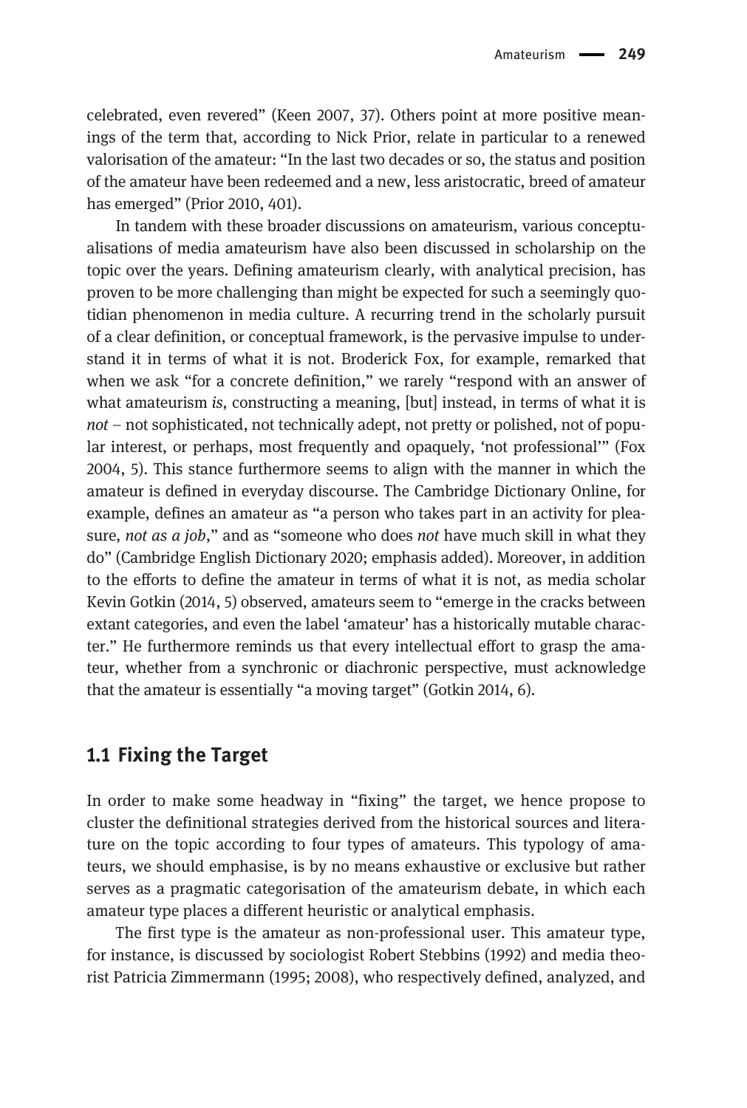celebrated, even revered" (Keen 2007, 37). Others point at more positive meanings of the term that, according to Nick Prior, relate in particular to a renewed valorisation of the amateur: "In the last two decades or so, the status and position of the amateur have been redeemed and a new, less aristocratic, breed of amateur has emerged" (Prior 2010, 401).

In tandem with these broader discussions on amateurism, various conceptualisations of media amateurism have also been discussed in scholarship on the topic over the years. Defining amateurism clearly, with analytical precision, has proven to be more challenging than might be expected for such a seemingly quotidian phenomenon in media culture. A recurring trend in the scholarly pursuit of a clear definition, or conceptual framework, is the pervasive impulse to understand it in terms of what it is not. Broderick Fox, for example, remarked that when we ask "for a concrete definition," we rarely "respond with an answer of what amateurism is, constructing a meaning, [but] instead, in terms of what it is not – not sophisticated, not technically adept, not pretty or polished, not of popular interest, or perhaps, most frequently and opaquely, 'not professional'" (Fox 2004, 5). This stance furthermore seems to align with the manner in which the amateur is defined in everyday discourse. The Cambridge Dictionary Online, for example, defines an amateur as "a person who takes part in an activity for pleasure, not as a job," and as "someone who does not have much skill in what they do" (Cambridge English Dictionary 2020; emphasis added). Moreover, in addition to the efforts to define the amateur in terms of what it is not, as media scholar Kevin Gotkin (2014, 5) observed, amateurs seem to "emerge in the cracks between extant categories, and even the label 'amateur' has a historically mutable character." He furthermore reminds us that every intellectual effort to grasp the amateur, whether from a synchronic or diachronic perspective, must acknowledge that the amateur is essentially "a moving target" (Gotkin 2014, 6).

## 1.1 Fixing the Target

In order to make some headway in "fixing" the target, we hence propose to cluster the definitional strategies derived from the historical sources and literature on the topic according to four types of amateurs. This typology of amateurs, we should emphasise, is by no means exhaustive or exclusive but rather serves as a pragmatic categorisation of the amateurism debate, in which each amateur type places a different heuristic or analytical emphasis.

The first type is the amateur as non-professional user. This amateur type, for instance, is discussed by sociologist Robert Stebbins (1992) and media theorist Patricia Zimmermann (1995; 2008), who respectively defined, analyzed, and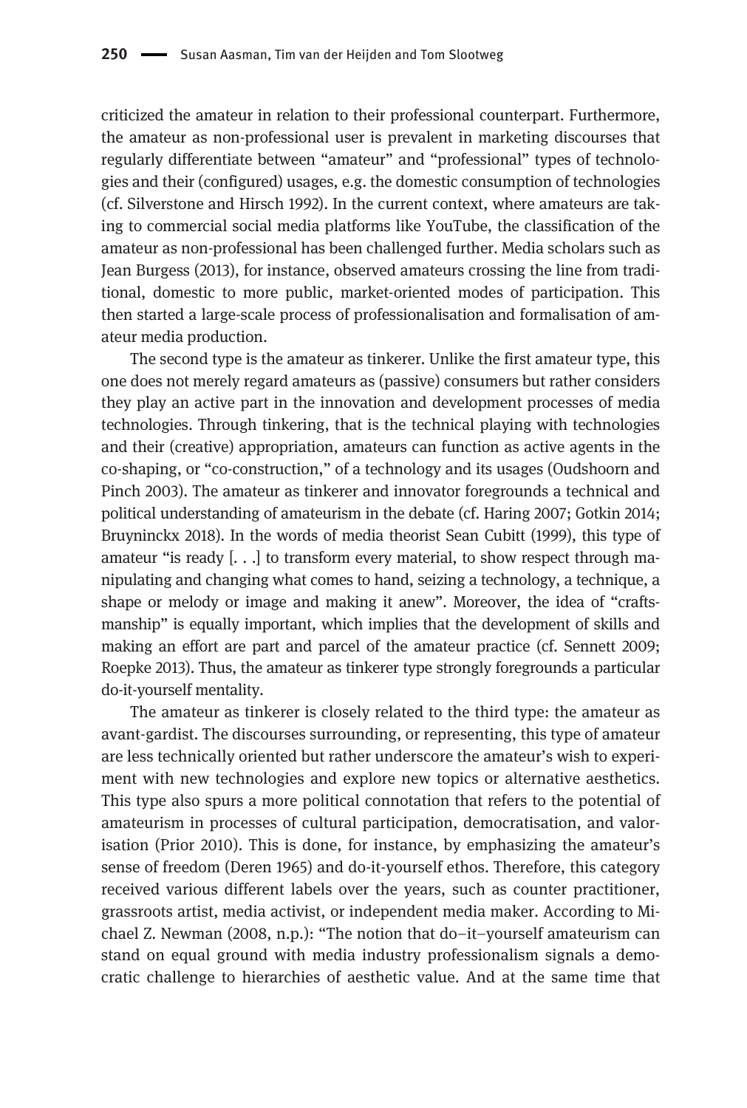criticized the amateur in relation to their professional counterpart. Furthermore, the amateur as non-professional user is prevalent in marketing discourses that regularly differentiate between "amateur" and "professional" types of technologies and their (configured) usages, e.g. the domestic consumption of technologies (cf. Silverstone and Hirsch 1992). In the current context, where amateurs are taking to commercial social media platforms like YouTube, the classification of the amateur as non-professional has been challenged further. Media scholars such as Jean Burgess (2013), for instance, observed amateurs crossing the line from traditional, domestic to more public, market-oriented modes of participation. This then started a large-scale process of professionalisation and formalisation of amateur media production.

The second type is the amateur as tinkerer. Unlike the first amateur type, this one does not merely regard amateurs as (passive) consumers but rather considers they play an active part in the innovation and development processes of media technologies. Through tinkering, that is the technical playing with technologies and their (creative) appropriation, amateurs can function as active agents in the co-shaping, or "co-construction," of a technology and its usages (Oudshoorn and Pinch 2003). The amateur as tinkerer and innovator foregrounds a technical and political understanding of amateurism in the debate (cf. Haring 2007; Gotkin 2014; Bruyninckx 2018). In the words of media theorist Sean Cubitt (1999), this type of amateur "is ready [. . .] to transform every material, to show respect through manipulating and changing what comes to hand, seizing a technology, a technique, a shape or melody or image and making it anew". Moreover, the idea of "craftsmanship" is equally important, which implies that the development of skills and making an effort are part and parcel of the amateur practice (cf. Sennett 2009; Roepke 2013). Thus, the amateur as tinkerer type strongly foregrounds a particular do-it-yourself mentality.

The amateur as tinkerer is closely related to the third type: the amateur as avant-gardist. The discourses surrounding, or representing, this type of amateur are less technically oriented but rather underscore the amateur's wish to experiment with new technologies and explore new topics or alternative aesthetics. This type also spurs a more political connotation that refers to the potential of amateurism in processes of cultural participation, democratisation, and valorisation (Prior 2010). This is done, for instance, by emphasizing the amateur's sense of freedom (Deren 1965) and do-it-yourself ethos. Therefore, this category received various different labels over the years, such as counter practitioner, grassroots artist, media activist, or independent media maker. According to Michael Z. Newman (2008, n.p.): "The notion that do–it–yourself amateurism can stand on equal ground with media industry professionalism signals a democratic challenge to hierarchies of aesthetic value. And at the same time that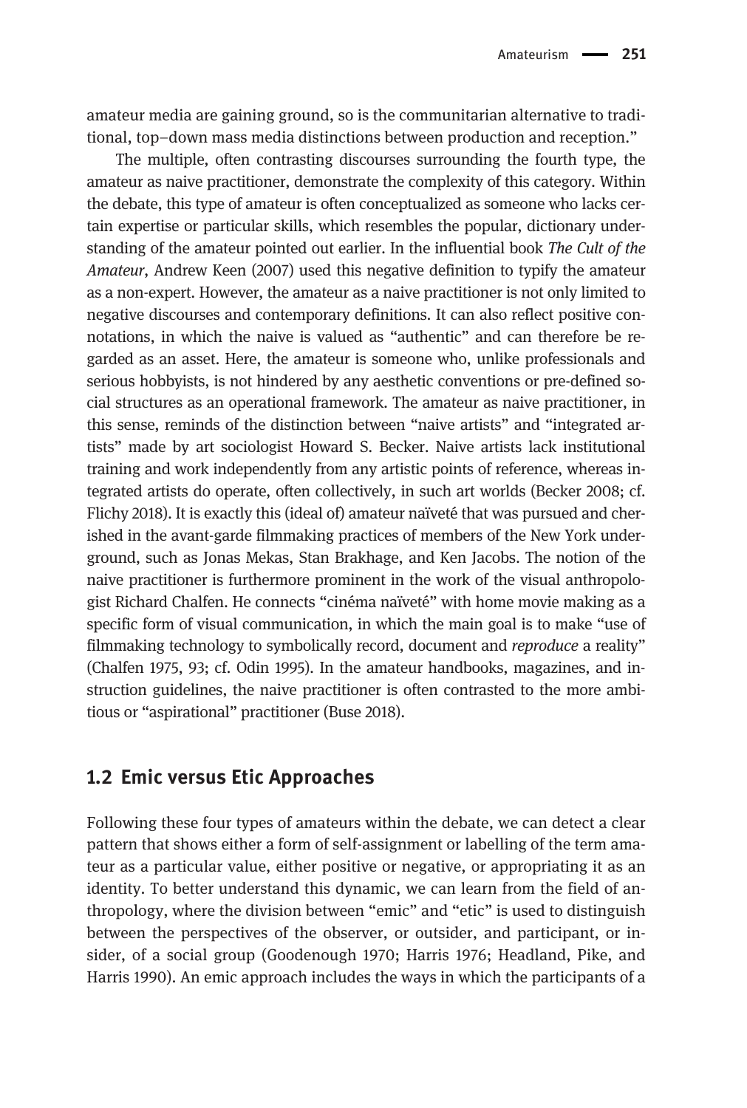amateur media are gaining ground, so is the communitarian alternative to traditional, top–down mass media distinctions between production and reception."

The multiple, often contrasting discourses surrounding the fourth type, the amateur as naive practitioner, demonstrate the complexity of this category. Within the debate, this type of amateur is often conceptualized as someone who lacks certain expertise or particular skills, which resembles the popular, dictionary understanding of the amateur pointed out earlier. In the influential book The Cult of the Amateur, Andrew Keen (2007) used this negative definition to typify the amateur as a non-expert. However, the amateur as a naive practitioner is not only limited to negative discourses and contemporary definitions. It can also reflect positive connotations, in which the naive is valued as "authentic" and can therefore be regarded as an asset. Here, the amateur is someone who, unlike professionals and serious hobbyists, is not hindered by any aesthetic conventions or pre-defined social structures as an operational framework. The amateur as naive practitioner, in this sense, reminds of the distinction between "naive artists" and "integrated artists" made by art sociologist Howard S. Becker. Naive artists lack institutional training and work independently from any artistic points of reference, whereas integrated artists do operate, often collectively, in such art worlds (Becker 2008; cf. Flichy 2018). It is exactly this (ideal of) amateur naïveté that was pursued and cherished in the avant-garde filmmaking practices of members of the New York underground, such as Jonas Mekas, Stan Brakhage, and Ken Jacobs. The notion of the naive practitioner is furthermore prominent in the work of the visual anthropologist Richard Chalfen. He connects "cinéma naïveté" with home movie making as a specific form of visual communication, in which the main goal is to make "use of filmmaking technology to symbolically record, document and reproduce a reality" (Chalfen 1975, 93; cf. Odin 1995). In the amateur handbooks, magazines, and instruction guidelines, the naive practitioner is often contrasted to the more ambitious or "aspirational" practitioner (Buse 2018).

## 1.2 Emic versus Etic Approaches

Following these four types of amateurs within the debate, we can detect a clear pattern that shows either a form of self-assignment or labelling of the term amateur as a particular value, either positive or negative, or appropriating it as an identity. To better understand this dynamic, we can learn from the field of anthropology, where the division between "emic" and "etic" is used to distinguish between the perspectives of the observer, or outsider, and participant, or insider, of a social group (Goodenough 1970; Harris 1976; Headland, Pike, and Harris 1990). An emic approach includes the ways in which the participants of a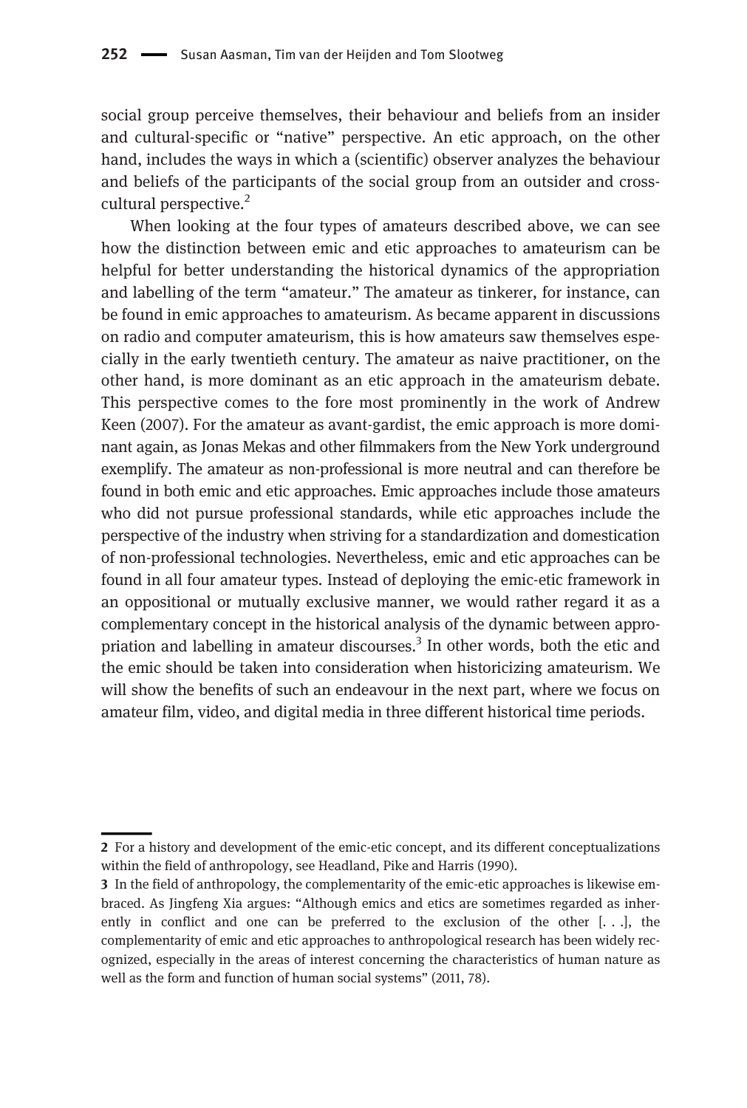social group perceive themselves, their behaviour and beliefs from an insider and cultural-specific or "native" perspective. An etic approach, on the other hand, includes the ways in which a (scientific) observer analyzes the behaviour and beliefs of the participants of the social group from an outsider and crosscultural perspective.<sup>2</sup>

When looking at the four types of amateurs described above, we can see how the distinction between emic and etic approaches to amateurism can be helpful for better understanding the historical dynamics of the appropriation and labelling of the term "amateur." The amateur as tinkerer, for instance, can be found in emic approaches to amateurism. As became apparent in discussions on radio and computer amateurism, this is how amateurs saw themselves especially in the early twentieth century. The amateur as naive practitioner, on the other hand, is more dominant as an etic approach in the amateurism debate. This perspective comes to the fore most prominently in the work of Andrew Keen (2007). For the amateur as avant-gardist, the emic approach is more dominant again, as Jonas Mekas and other filmmakers from the New York underground exemplify. The amateur as non-professional is more neutral and can therefore be found in both emic and etic approaches. Emic approaches include those amateurs who did not pursue professional standards, while etic approaches include the perspective of the industry when striving for a standardization and domestication of non-professional technologies. Nevertheless, emic and etic approaches can be found in all four amateur types. Instead of deploying the emic-etic framework in an oppositional or mutually exclusive manner, we would rather regard it as a complementary concept in the historical analysis of the dynamic between appropriation and labelling in amateur discourses. $3$  In other words, both the etic and the emic should be taken into consideration when historicizing amateurism. We will show the benefits of such an endeavour in the next part, where we focus on amateur film, video, and digital media in three different historical time periods.

<sup>2</sup> For a history and development of the emic-etic concept, and its different conceptualizations within the field of anthropology, see Headland, Pike and Harris (1990).

<sup>3</sup> In the field of anthropology, the complementarity of the emic-etic approaches is likewise embraced. As Jingfeng Xia argues: "Although emics and etics are sometimes regarded as inherently in conflict and one can be preferred to the exclusion of the other  $[...]$ , the complementarity of emic and etic approaches to anthropological research has been widely recognized, especially in the areas of interest concerning the characteristics of human nature as well as the form and function of human social systems" (2011, 78).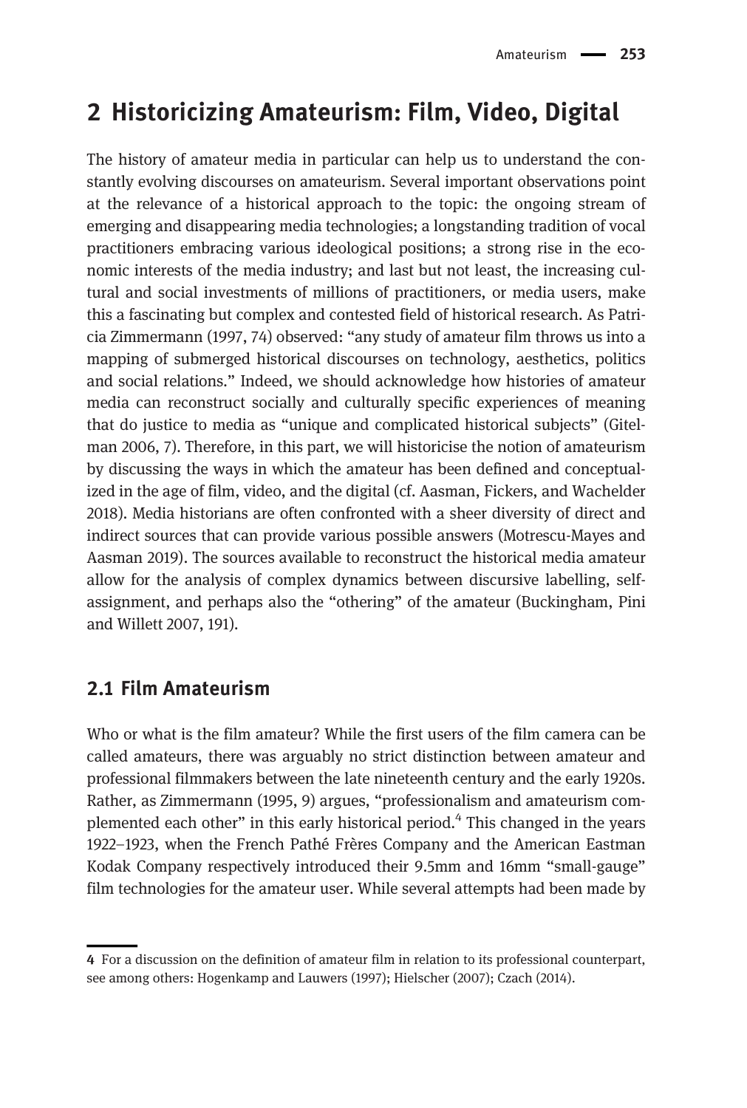# 2 Historicizing Amateurism: Film, Video, Digital

The history of amateur media in particular can help us to understand the constantly evolving discourses on amateurism. Several important observations point at the relevance of a historical approach to the topic: the ongoing stream of emerging and disappearing media technologies; a longstanding tradition of vocal practitioners embracing various ideological positions; a strong rise in the economic interests of the media industry; and last but not least, the increasing cultural and social investments of millions of practitioners, or media users, make this a fascinating but complex and contested field of historical research. As Patricia Zimmermann (1997, 74) observed: "any study of amateur film throws us into a mapping of submerged historical discourses on technology, aesthetics, politics and social relations." Indeed, we should acknowledge how histories of amateur media can reconstruct socially and culturally specific experiences of meaning that do justice to media as "unique and complicated historical subjects" (Gitelman 2006, 7). Therefore, in this part, we will historicise the notion of amateurism by discussing the ways in which the amateur has been defined and conceptualized in the age of film, video, and the digital (cf. Aasman, Fickers, and Wachelder 2018). Media historians are often confronted with a sheer diversity of direct and indirect sources that can provide various possible answers (Motrescu-Mayes and Aasman 2019). The sources available to reconstruct the historical media amateur allow for the analysis of complex dynamics between discursive labelling, selfassignment, and perhaps also the "othering" of the amateur (Buckingham, Pini and Willett 2007, 191).

## 2.1 Film Amateurism

Who or what is the film amateur? While the first users of the film camera can be called amateurs, there was arguably no strict distinction between amateur and professional filmmakers between the late nineteenth century and the early 1920s. Rather, as Zimmermann (1995, 9) argues, "professionalism and amateurism complemented each other" in this early historical period.4 This changed in the years 1922–1923, when the French Pathé Frères Company and the American Eastman Kodak Company respectively introduced their 9.5mm and 16mm "small-gauge" film technologies for the amateur user. While several attempts had been made by

<sup>4</sup> For a discussion on the definition of amateur film in relation to its professional counterpart, see among others: Hogenkamp and Lauwers (1997); Hielscher (2007); Czach (2014).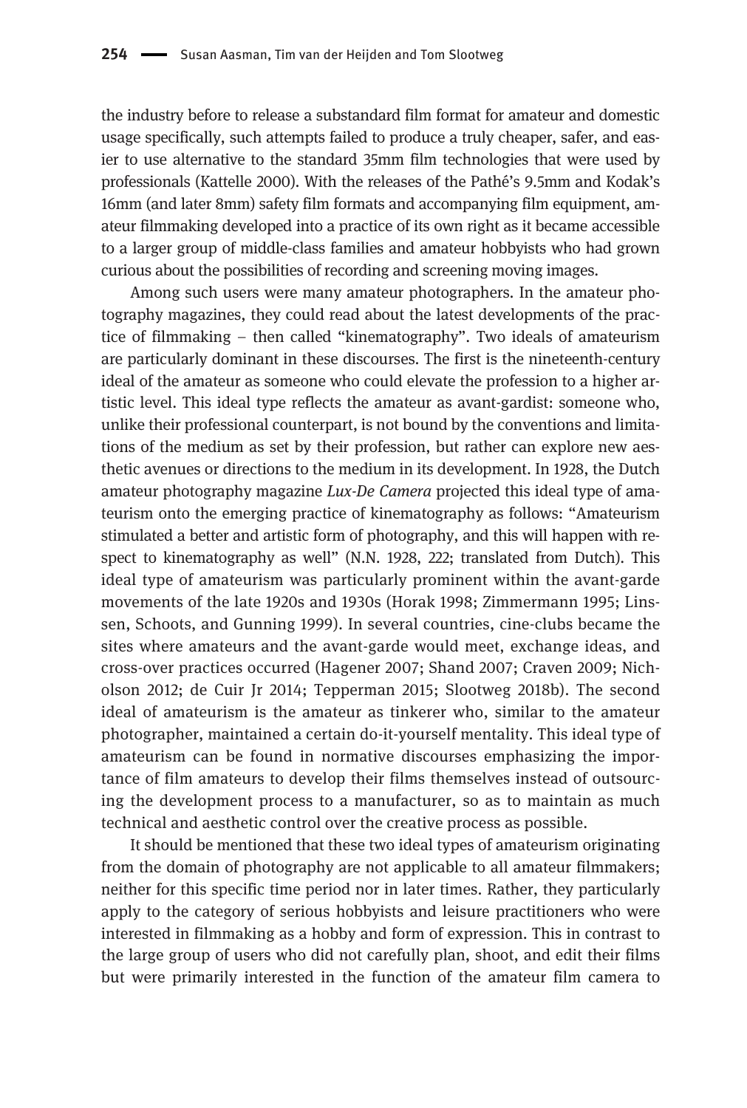the industry before to release a substandard film format for amateur and domestic usage specifically, such attempts failed to produce a truly cheaper, safer, and easier to use alternative to the standard 35mm film technologies that were used by professionals (Kattelle 2000). With the releases of the Pathé's 9.5mm and Kodak's 16mm (and later 8mm) safety film formats and accompanying film equipment, amateur filmmaking developed into a practice of its own right as it became accessible to a larger group of middle-class families and amateur hobbyists who had grown curious about the possibilities of recording and screening moving images.

Among such users were many amateur photographers. In the amateur photography magazines, they could read about the latest developments of the practice of filmmaking – then called "kinematography". Two ideals of amateurism are particularly dominant in these discourses. The first is the nineteenth-century ideal of the amateur as someone who could elevate the profession to a higher artistic level. This ideal type reflects the amateur as avant-gardist: someone who, unlike their professional counterpart, is not bound by the conventions and limitations of the medium as set by their profession, but rather can explore new aesthetic avenues or directions to the medium in its development. In 1928, the Dutch amateur photography magazine Lux-De Camera projected this ideal type of amateurism onto the emerging practice of kinematography as follows: "Amateurism stimulated a better and artistic form of photography, and this will happen with respect to kinematography as well" (N.N. 1928, 222; translated from Dutch). This ideal type of amateurism was particularly prominent within the avant-garde movements of the late 1920s and 1930s (Horak 1998; Zimmermann 1995; Linssen, Schoots, and Gunning 1999). In several countries, cine-clubs became the sites where amateurs and the avant-garde would meet, exchange ideas, and cross-over practices occurred (Hagener 2007; Shand 2007; Craven 2009; Nicholson 2012; de Cuir Jr 2014; Tepperman 2015; Slootweg 2018b). The second ideal of amateurism is the amateur as tinkerer who, similar to the amateur photographer, maintained a certain do-it-yourself mentality. This ideal type of amateurism can be found in normative discourses emphasizing the importance of film amateurs to develop their films themselves instead of outsourcing the development process to a manufacturer, so as to maintain as much technical and aesthetic control over the creative process as possible.

It should be mentioned that these two ideal types of amateurism originating from the domain of photography are not applicable to all amateur filmmakers; neither for this specific time period nor in later times. Rather, they particularly apply to the category of serious hobbyists and leisure practitioners who were interested in filmmaking as a hobby and form of expression. This in contrast to the large group of users who did not carefully plan, shoot, and edit their films but were primarily interested in the function of the amateur film camera to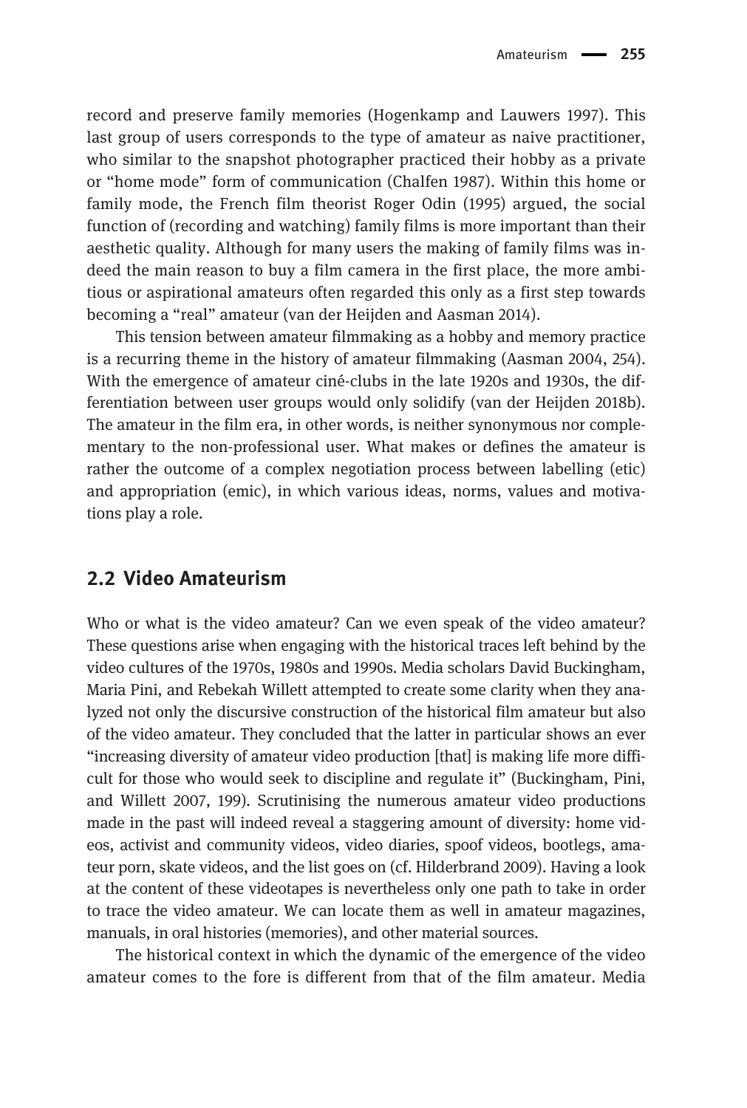record and preserve family memories (Hogenkamp and Lauwers 1997). This last group of users corresponds to the type of amateur as naive practitioner, who similar to the snapshot photographer practiced their hobby as a private or "home mode" form of communication (Chalfen 1987). Within this home or family mode, the French film theorist Roger Odin (1995) argued, the social function of (recording and watching) family films is more important than their aesthetic quality. Although for many users the making of family films was indeed the main reason to buy a film camera in the first place, the more ambitious or aspirational amateurs often regarded this only as a first step towards becoming a "real" amateur (van der Heijden and Aasman 2014).

This tension between amateur filmmaking as a hobby and memory practice is a recurring theme in the history of amateur filmmaking (Aasman 2004, 254). With the emergence of amateur ciné-clubs in the late 1920s and 1930s, the differentiation between user groups would only solidify (van der Heijden 2018b). The amateur in the film era, in other words, is neither synonymous nor complementary to the non-professional user. What makes or defines the amateur is rather the outcome of a complex negotiation process between labelling (etic) and appropriation (emic), in which various ideas, norms, values and motivations play a role.

## 2.2 Video Amateurism

Who or what is the video amateur? Can we even speak of the video amateur? These questions arise when engaging with the historical traces left behind by the video cultures of the 1970s, 1980s and 1990s. Media scholars David Buckingham, Maria Pini, and Rebekah Willett attempted to create some clarity when they analyzed not only the discursive construction of the historical film amateur but also of the video amateur. They concluded that the latter in particular shows an ever "increasing diversity of amateur video production [that] is making life more difficult for those who would seek to discipline and regulate it" (Buckingham, Pini, and Willett 2007, 199). Scrutinising the numerous amateur video productions made in the past will indeed reveal a staggering amount of diversity: home videos, activist and community videos, video diaries, spoof videos, bootlegs, amateur porn, skate videos, and the list goes on (cf. Hilderbrand 2009). Having a look at the content of these videotapes is nevertheless only one path to take in order to trace the video amateur. We can locate them as well in amateur magazines, manuals, in oral histories (memories), and other material sources.

The historical context in which the dynamic of the emergence of the video amateur comes to the fore is different from that of the film amateur. Media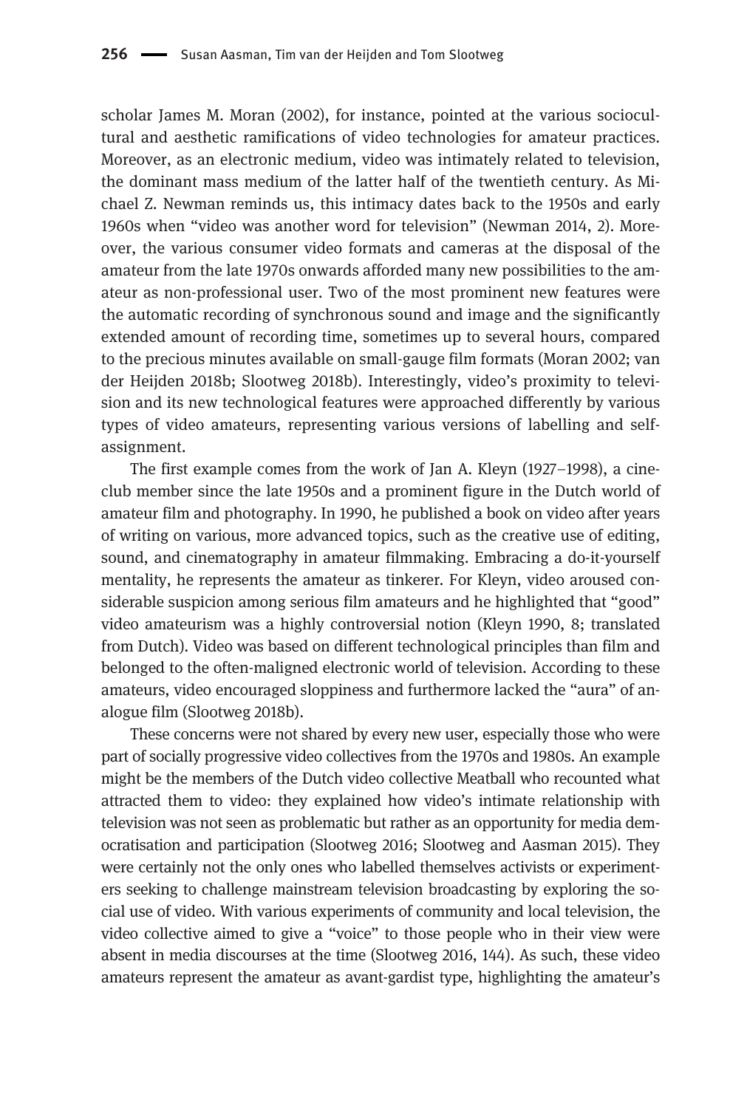scholar James M. Moran (2002), for instance, pointed at the various sociocultural and aesthetic ramifications of video technologies for amateur practices. Moreover, as an electronic medium, video was intimately related to television, the dominant mass medium of the latter half of the twentieth century. As Michael Z. Newman reminds us, this intimacy dates back to the 1950s and early 1960s when "video was another word for television" (Newman 2014, 2). Moreover, the various consumer video formats and cameras at the disposal of the amateur from the late 1970s onwards afforded many new possibilities to the amateur as non-professional user. Two of the most prominent new features were the automatic recording of synchronous sound and image and the significantly extended amount of recording time, sometimes up to several hours, compared to the precious minutes available on small-gauge film formats (Moran 2002; van der Heijden 2018b; Slootweg 2018b). Interestingly, video's proximity to television and its new technological features were approached differently by various types of video amateurs, representing various versions of labelling and selfassignment.

The first example comes from the work of Jan A. Kleyn (1927–1998), a cineclub member since the late 1950s and a prominent figure in the Dutch world of amateur film and photography. In 1990, he published a book on video after years of writing on various, more advanced topics, such as the creative use of editing, sound, and cinematography in amateur filmmaking. Embracing a do-it-yourself mentality, he represents the amateur as tinkerer. For Kleyn, video aroused considerable suspicion among serious film amateurs and he highlighted that "good" video amateurism was a highly controversial notion (Kleyn 1990, 8; translated from Dutch). Video was based on different technological principles than film and belonged to the often-maligned electronic world of television. According to these amateurs, video encouraged sloppiness and furthermore lacked the "aura" of analogue film (Slootweg 2018b).

These concerns were not shared by every new user, especially those who were part of socially progressive video collectives from the 1970s and 1980s. An example might be the members of the Dutch video collective Meatball who recounted what attracted them to video: they explained how video's intimate relationship with television was not seen as problematic but rather as an opportunity for media democratisation and participation (Slootweg 2016; Slootweg and Aasman 2015). They were certainly not the only ones who labelled themselves activists or experimenters seeking to challenge mainstream television broadcasting by exploring the social use of video. With various experiments of community and local television, the video collective aimed to give a "voice" to those people who in their view were absent in media discourses at the time (Slootweg 2016, 144). As such, these video amateurs represent the amateur as avant-gardist type, highlighting the amateur's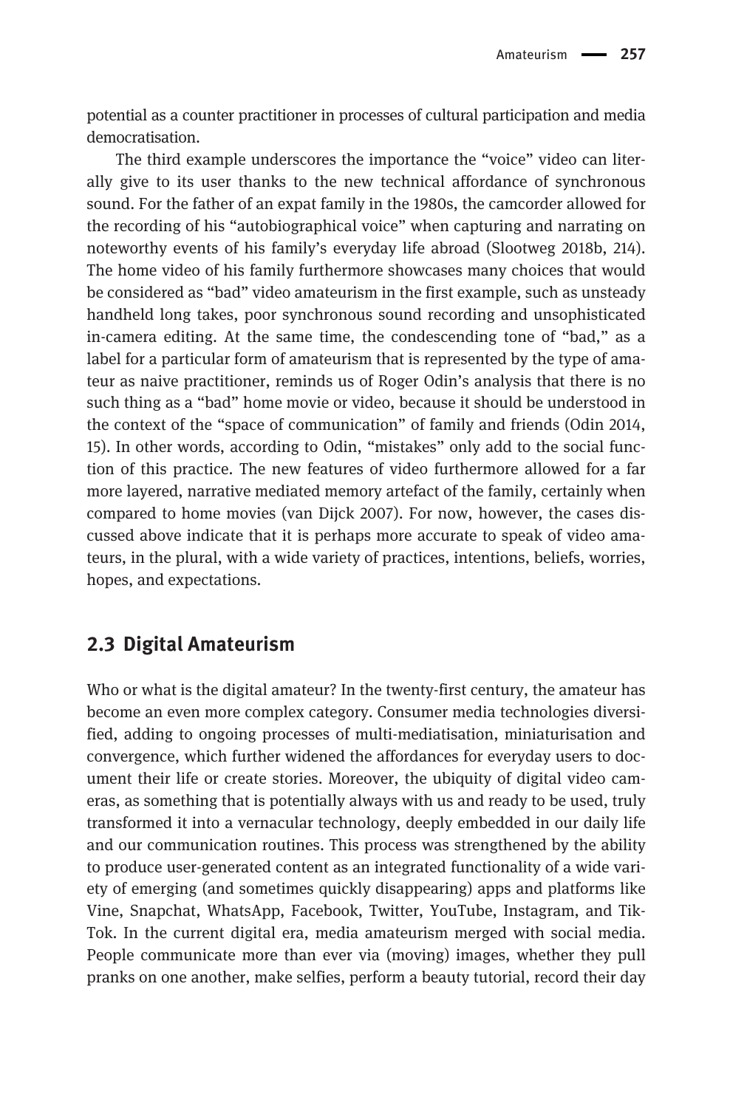potential as a counter practitioner in processes of cultural participation and media democratisation.

The third example underscores the importance the "voice" video can literally give to its user thanks to the new technical affordance of synchronous sound. For the father of an expat family in the 1980s, the camcorder allowed for the recording of his "autobiographical voice" when capturing and narrating on noteworthy events of his family's everyday life abroad (Slootweg 2018b, 214). The home video of his family furthermore showcases many choices that would be considered as "bad" video amateurism in the first example, such as unsteady handheld long takes, poor synchronous sound recording and unsophisticated in-camera editing. At the same time, the condescending tone of "bad," as a label for a particular form of amateurism that is represented by the type of amateur as naive practitioner, reminds us of Roger Odin's analysis that there is no such thing as a "bad" home movie or video, because it should be understood in the context of the "space of communication" of family and friends (Odin 2014, 15). In other words, according to Odin, "mistakes" only add to the social function of this practice. The new features of video furthermore allowed for a far more layered, narrative mediated memory artefact of the family, certainly when compared to home movies (van Dijck 2007). For now, however, the cases discussed above indicate that it is perhaps more accurate to speak of video amateurs, in the plural, with a wide variety of practices, intentions, beliefs, worries, hopes, and expectations.

## 2.3 Digital Amateurism

Who or what is the digital amateur? In the twenty-first century, the amateur has become an even more complex category. Consumer media technologies diversified, adding to ongoing processes of multi-mediatisation, miniaturisation and convergence, which further widened the affordances for everyday users to document their life or create stories. Moreover, the ubiquity of digital video cameras, as something that is potentially always with us and ready to be used, truly transformed it into a vernacular technology, deeply embedded in our daily life and our communication routines. This process was strengthened by the ability to produce user-generated content as an integrated functionality of a wide variety of emerging (and sometimes quickly disappearing) apps and platforms like Vine, Snapchat, WhatsApp, Facebook, Twitter, YouTube, Instagram, and Tik-Tok. In the current digital era, media amateurism merged with social media. People communicate more than ever via (moving) images, whether they pull pranks on one another, make selfies, perform a beauty tutorial, record their day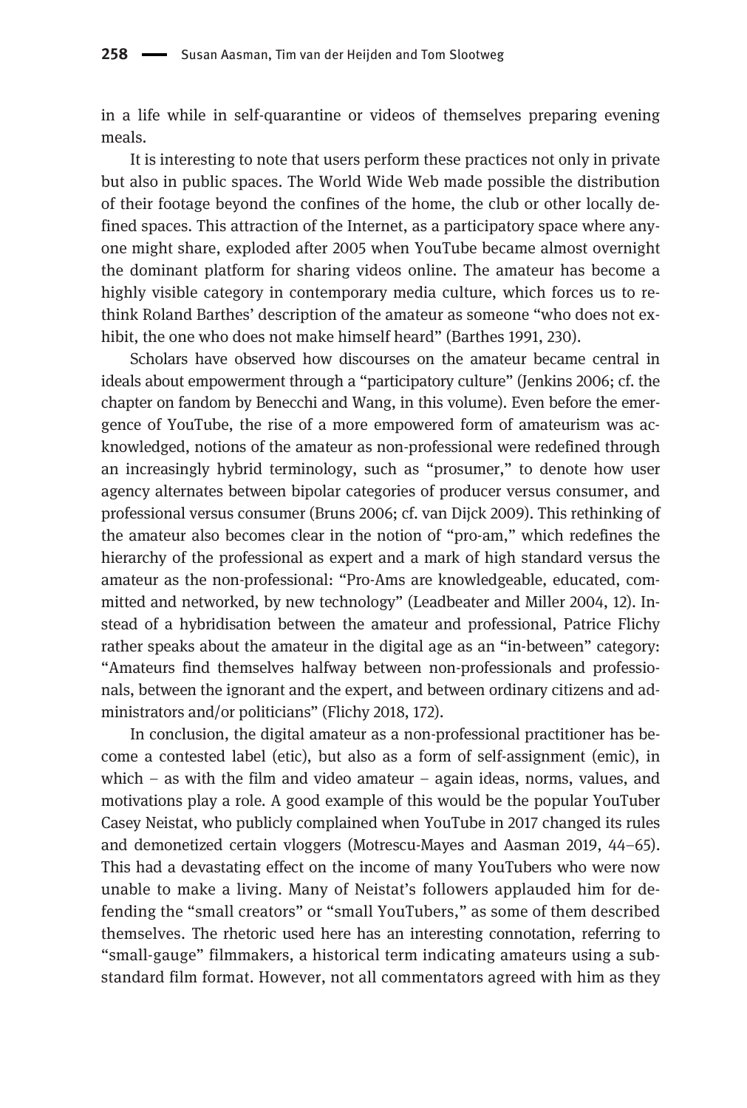in a life while in self-quarantine or videos of themselves preparing evening meals.

It is interesting to note that users perform these practices not only in private but also in public spaces. The World Wide Web made possible the distribution of their footage beyond the confines of the home, the club or other locally defined spaces. This attraction of the Internet, as a participatory space where anyone might share, exploded after 2005 when YouTube became almost overnight the dominant platform for sharing videos online. The amateur has become a highly visible category in contemporary media culture, which forces us to rethink Roland Barthes' description of the amateur as someone "who does not exhibit, the one who does not make himself heard" (Barthes 1991, 230).

Scholars have observed how discourses on the amateur became central in ideals about empowerment through a "participatory culture" (Jenkins 2006; cf. the chapter on fandom by Benecchi and Wang, in this volume). Even before the emergence of YouTube, the rise of a more empowered form of amateurism was acknowledged, notions of the amateur as non-professional were redefined through an increasingly hybrid terminology, such as "prosumer," to denote how user agency alternates between bipolar categories of producer versus consumer, and professional versus consumer (Bruns 2006; cf. van Dijck 2009). This rethinking of the amateur also becomes clear in the notion of "pro-am," which redefines the hierarchy of the professional as expert and a mark of high standard versus the amateur as the non-professional: "Pro-Ams are knowledgeable, educated, committed and networked, by new technology" (Leadbeater and Miller 2004, 12). Instead of a hybridisation between the amateur and professional, Patrice Flichy rather speaks about the amateur in the digital age as an "in-between" category: "Amateurs find themselves halfway between non-professionals and professionals, between the ignorant and the expert, and between ordinary citizens and administrators and/or politicians" (Flichy 2018, 172).

In conclusion, the digital amateur as a non-professional practitioner has become a contested label (etic), but also as a form of self-assignment (emic), in which – as with the film and video amateur – again ideas, norms, values, and motivations play a role. A good example of this would be the popular YouTuber Casey Neistat, who publicly complained when YouTube in 2017 changed its rules and demonetized certain vloggers (Motrescu-Mayes and Aasman 2019, 44–65). This had a devastating effect on the income of many YouTubers who were now unable to make a living. Many of Neistat's followers applauded him for defending the "small creators" or "small YouTubers," as some of them described themselves. The rhetoric used here has an interesting connotation, referring to "small-gauge" filmmakers, a historical term indicating amateurs using a substandard film format. However, not all commentators agreed with him as they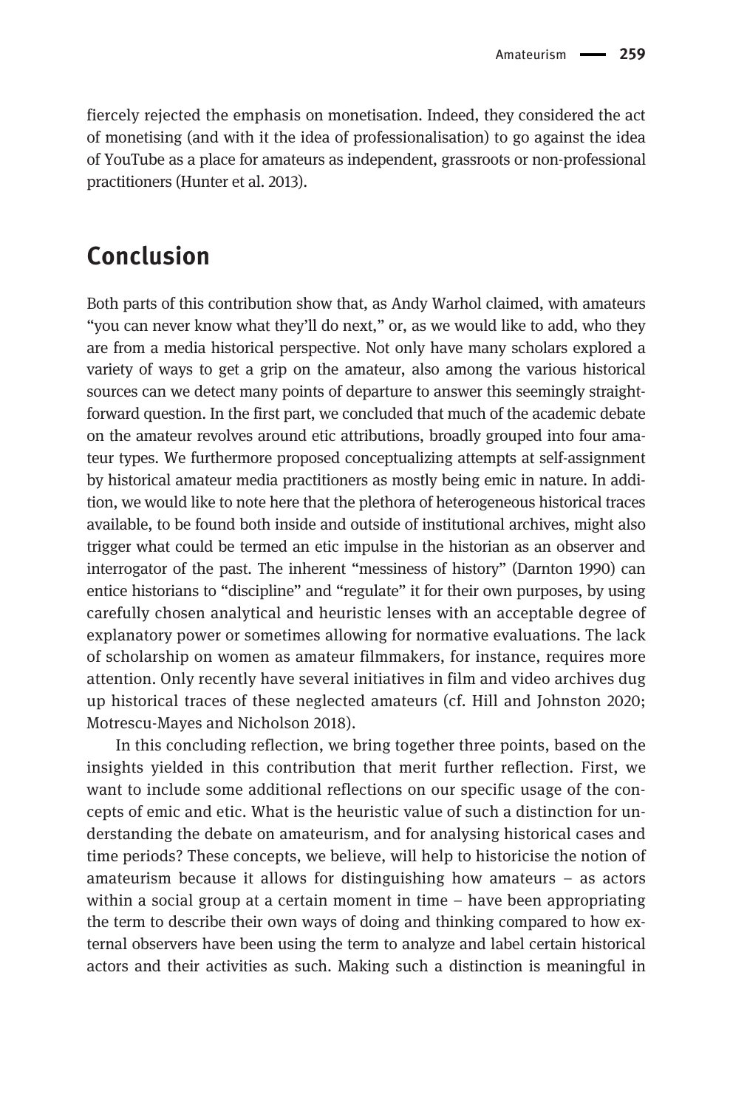fiercely rejected the emphasis on monetisation. Indeed, they considered the act of monetising (and with it the idea of professionalisation) to go against the idea of YouTube as a place for amateurs as independent, grassroots or non-professional practitioners (Hunter et al. 2013).

# Conclusion

Both parts of this contribution show that, as Andy Warhol claimed, with amateurs "you can never know what they'll do next," or, as we would like to add, who they are from a media historical perspective. Not only have many scholars explored a variety of ways to get a grip on the amateur, also among the various historical sources can we detect many points of departure to answer this seemingly straightforward question. In the first part, we concluded that much of the academic debate on the amateur revolves around etic attributions, broadly grouped into four amateur types. We furthermore proposed conceptualizing attempts at self-assignment by historical amateur media practitioners as mostly being emic in nature. In addition, we would like to note here that the plethora of heterogeneous historical traces available, to be found both inside and outside of institutional archives, might also trigger what could be termed an etic impulse in the historian as an observer and interrogator of the past. The inherent "messiness of history" (Darnton 1990) can entice historians to "discipline" and "regulate" it for their own purposes, by using carefully chosen analytical and heuristic lenses with an acceptable degree of explanatory power or sometimes allowing for normative evaluations. The lack of scholarship on women as amateur filmmakers, for instance, requires more attention. Only recently have several initiatives in film and video archives dug up historical traces of these neglected amateurs (cf. Hill and Johnston 2020; Motrescu-Mayes and Nicholson 2018).

In this concluding reflection, we bring together three points, based on the insights yielded in this contribution that merit further reflection. First, we want to include some additional reflections on our specific usage of the concepts of emic and etic. What is the heuristic value of such a distinction for understanding the debate on amateurism, and for analysing historical cases and time periods? These concepts, we believe, will help to historicise the notion of amateurism because it allows for distinguishing how amateurs – as actors within a social group at a certain moment in time – have been appropriating the term to describe their own ways of doing and thinking compared to how external observers have been using the term to analyze and label certain historical actors and their activities as such. Making such a distinction is meaningful in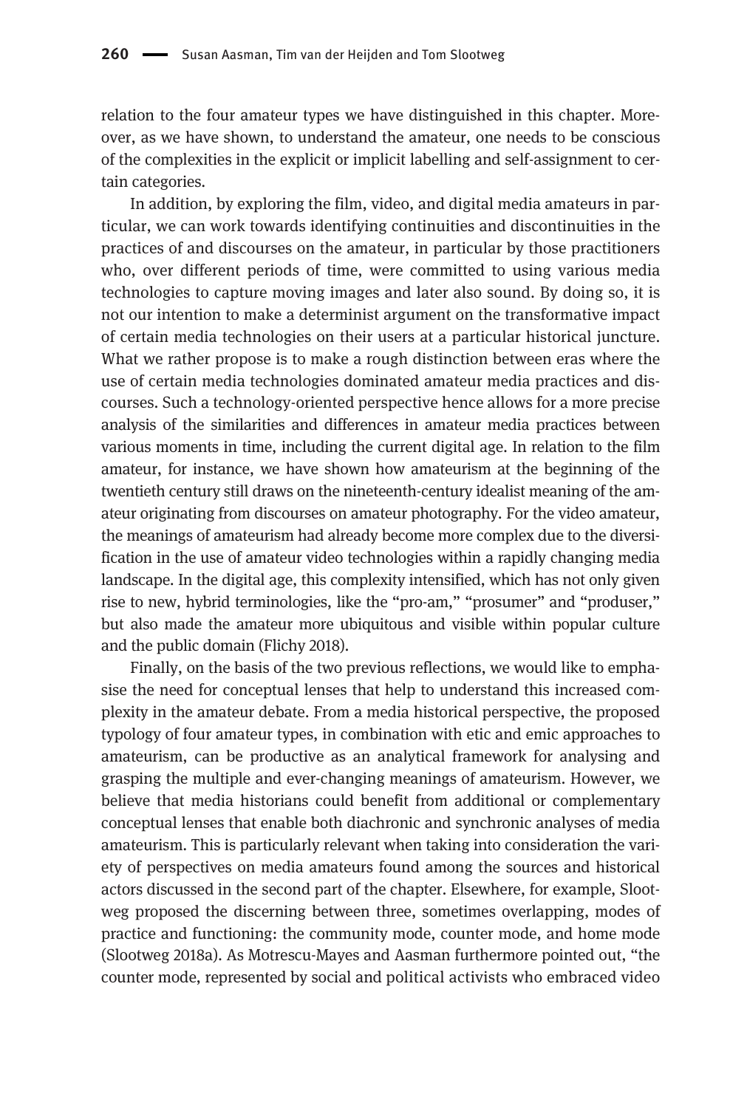relation to the four amateur types we have distinguished in this chapter. Moreover, as we have shown, to understand the amateur, one needs to be conscious of the complexities in the explicit or implicit labelling and self-assignment to certain categories.

In addition, by exploring the film, video, and digital media amateurs in particular, we can work towards identifying continuities and discontinuities in the practices of and discourses on the amateur, in particular by those practitioners who, over different periods of time, were committed to using various media technologies to capture moving images and later also sound. By doing so, it is not our intention to make a determinist argument on the transformative impact of certain media technologies on their users at a particular historical juncture. What we rather propose is to make a rough distinction between eras where the use of certain media technologies dominated amateur media practices and discourses. Such a technology-oriented perspective hence allows for a more precise analysis of the similarities and differences in amateur media practices between various moments in time, including the current digital age. In relation to the film amateur, for instance, we have shown how amateurism at the beginning of the twentieth century still draws on the nineteenth-century idealist meaning of the amateur originating from discourses on amateur photography. For the video amateur, the meanings of amateurism had already become more complex due to the diversification in the use of amateur video technologies within a rapidly changing media landscape. In the digital age, this complexity intensified, which has not only given rise to new, hybrid terminologies, like the "pro-am," "prosumer" and "produser," but also made the amateur more ubiquitous and visible within popular culture and the public domain (Flichy 2018).

Finally, on the basis of the two previous reflections, we would like to emphasise the need for conceptual lenses that help to understand this increased complexity in the amateur debate. From a media historical perspective, the proposed typology of four amateur types, in combination with etic and emic approaches to amateurism, can be productive as an analytical framework for analysing and grasping the multiple and ever-changing meanings of amateurism. However, we believe that media historians could benefit from additional or complementary conceptual lenses that enable both diachronic and synchronic analyses of media amateurism. This is particularly relevant when taking into consideration the variety of perspectives on media amateurs found among the sources and historical actors discussed in the second part of the chapter. Elsewhere, for example, Slootweg proposed the discerning between three, sometimes overlapping, modes of practice and functioning: the community mode, counter mode, and home mode (Slootweg 2018a). As Motrescu-Mayes and Aasman furthermore pointed out, "the counter mode, represented by social and political activists who embraced video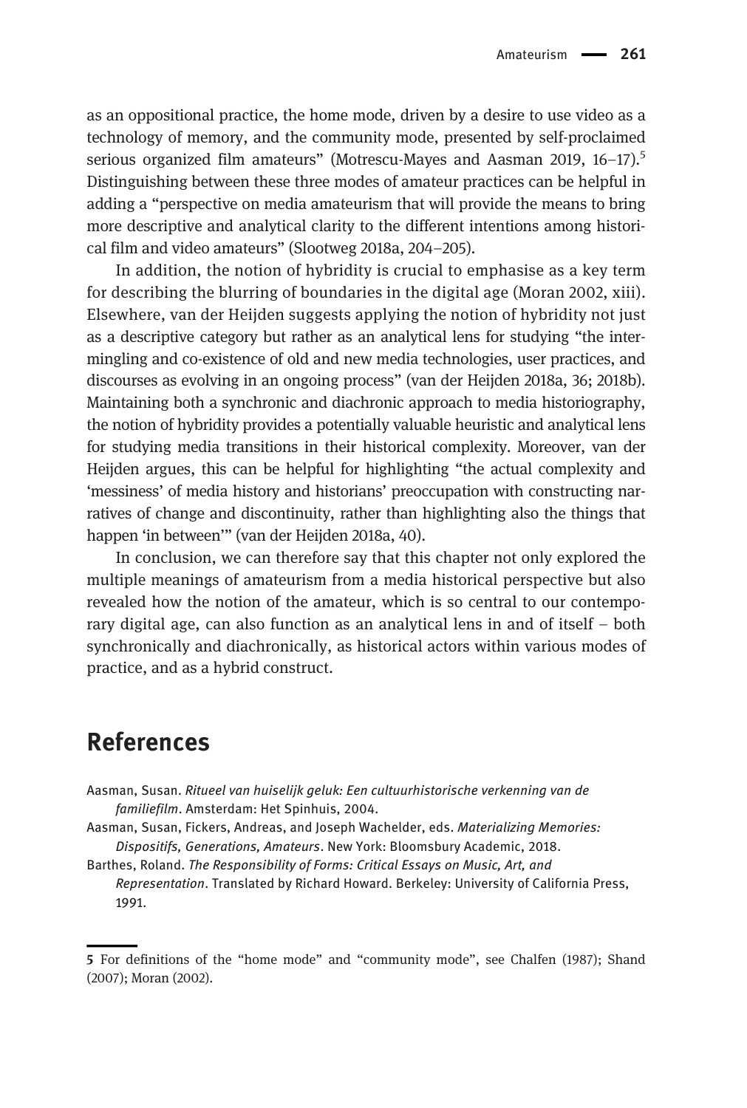as an oppositional practice, the home mode, driven by a desire to use video as a technology of memory, and the community mode, presented by self-proclaimed serious organized film amateurs" (Motrescu-Mayes and Aasman 2019,  $16-17$ ).<sup>5</sup> Distinguishing between these three modes of amateur practices can be helpful in adding a "perspective on media amateurism that will provide the means to bring more descriptive and analytical clarity to the different intentions among historical film and video amateurs" (Slootweg 2018a, 204–205).

In addition, the notion of hybridity is crucial to emphasise as a key term for describing the blurring of boundaries in the digital age (Moran 2002, xiii). Elsewhere, van der Heijden suggests applying the notion of hybridity not just as a descriptive category but rather as an analytical lens for studying "the intermingling and co-existence of old and new media technologies, user practices, and discourses as evolving in an ongoing process" (van der Heijden 2018a, 36; 2018b). Maintaining both a synchronic and diachronic approach to media historiography, the notion of hybridity provides a potentially valuable heuristic and analytical lens for studying media transitions in their historical complexity. Moreover, van der Heijden argues, this can be helpful for highlighting "the actual complexity and 'messiness' of media history and historians' preoccupation with constructing narratives of change and discontinuity, rather than highlighting also the things that happen 'in between'" (van der Heijden 2018a, 40).

In conclusion, we can therefore say that this chapter not only explored the multiple meanings of amateurism from a media historical perspective but also revealed how the notion of the amateur, which is so central to our contemporary digital age, can also function as an analytical lens in and of itself – both synchronically and diachronically, as historical actors within various modes of practice, and as a hybrid construct.

## References

- Aasman, Susan. Ritueel van huiselijk geluk: Een cultuurhistorische verkenning van de familiefilm. Amsterdam: Het Spinhuis, 2004.
- Aasman, Susan, Fickers, Andreas, and Joseph Wachelder, eds. Materializing Memories: Dispositifs, Generations, Amateurs. New York: Bloomsbury Academic, 2018.

Barthes, Roland. The Responsibility of Forms: Critical Essays on Music, Art, and Representation. Translated by Richard Howard. Berkeley: University of California Press, 1991.

<sup>5</sup> For definitions of the "home mode" and "community mode", see Chalfen (1987); Shand (2007); Moran (2002).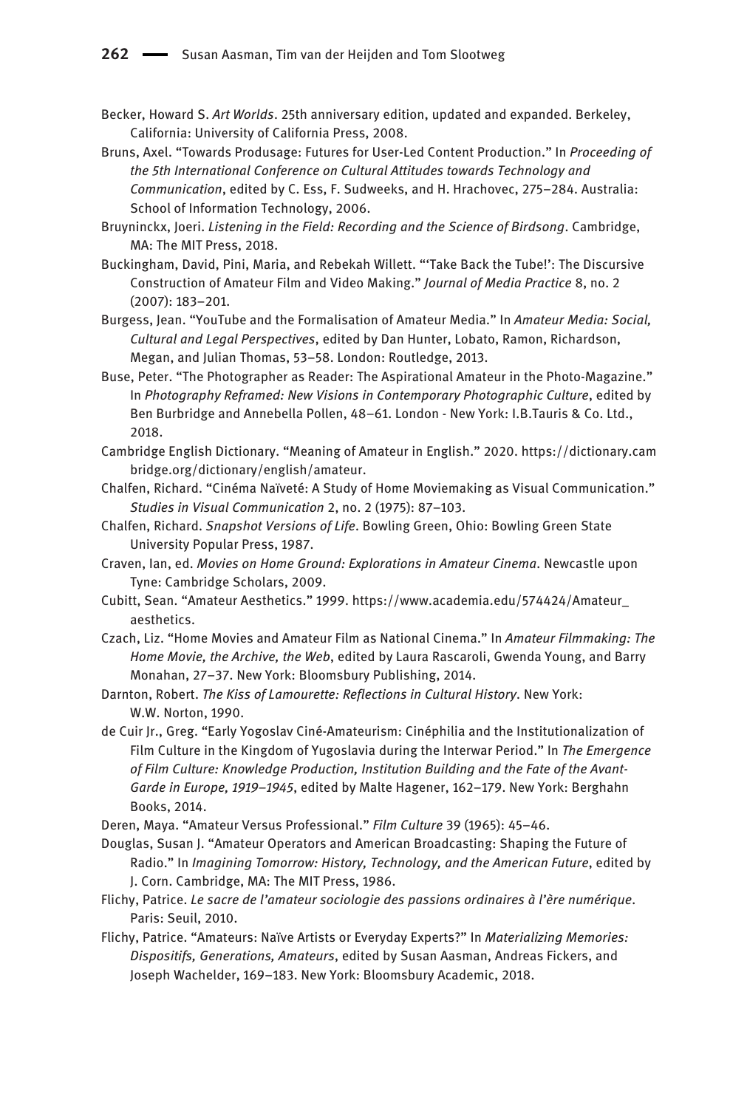- Becker, Howard S. Art Worlds. 25th anniversary edition, updated and expanded. Berkeley, California: University of California Press, 2008.
- Bruns, Axel. "Towards Produsage: Futures for User-Led Content Production." In Proceeding of the 5th International Conference on Cultural Attitudes towards Technology and Communication, edited by C. Ess, F. Sudweeks, and H. Hrachovec, 275–284. Australia: School of Information Technology, 2006.
- Bruyninckx, Joeri. Listening in the Field: Recording and the Science of Birdsong. Cambridge, MA: The MIT Press, 2018.
- Buckingham, David, Pini, Maria, and Rebekah Willett. "'Take Back the Tube!': The Discursive Construction of Amateur Film and Video Making." Journal of Media Practice 8, no. 2 (2007): 183–201.
- Burgess, Jean. "YouTube and the Formalisation of Amateur Media." In Amateur Media: Social, Cultural and Legal Perspectives, edited by Dan Hunter, Lobato, Ramon, Richardson, Megan, and Julian Thomas, 53–58. London: Routledge, 2013.
- Buse, Peter. "The Photographer as Reader: The Aspirational Amateur in the Photo-Magazine." In Photography Reframed: New Visions in Contemporary Photographic Culture, edited by Ben Burbridge and Annebella Pollen, 48–61. London - New York: I.B.Tauris & Co. Ltd., 2018.
- Cambridge English Dictionary. "Meaning of Amateur in English." 2020. [https://dictionary.cam](https://dictionary.cambridge.org/dictionary/english/amateur) [bridge.org/dictionary/english/amateur](https://dictionary.cambridge.org/dictionary/english/amateur).
- Chalfen, Richard. "Cinéma Naïveté: A Study of Home Moviemaking as Visual Communication." Studies in Visual Communication 2, no. 2 (1975): 87–103.
- Chalfen, Richard. Snapshot Versions of Life. Bowling Green, Ohio: Bowling Green State University Popular Press, 1987.
- Craven, Ian, ed. Movies on Home Ground: Explorations in Amateur Cinema. Newcastle upon Tyne: Cambridge Scholars, 2009.
- Cubitt, Sean. "Amateur Aesthetics." 1999. [https://www.academia.edu/574424/Amateur\\_](https://www.academia.edu/574424/Amateur_aesthetics) [aesthetics](https://www.academia.edu/574424/Amateur_aesthetics).
- Czach, Liz. "Home Movies and Amateur Film as National Cinema." In Amateur Filmmaking: The Home Movie, the Archive, the Web, edited by Laura Rascaroli, Gwenda Young, and Barry Monahan, 27–37. New York: Bloomsbury Publishing, 2014.
- Darnton, Robert. The Kiss of Lamourette: Reflections in Cultural History. New York: W.W. Norton, 1990.
- de Cuir Jr., Greg. "Early Yogoslav Ciné-Amateurism: Cinéphilia and the Institutionalization of Film Culture in the Kingdom of Yugoslavia during the Interwar Period." In The Emergence of Film Culture: Knowledge Production, Institution Building and the Fate of the Avant-Garde in Europe, 1919–1945, edited by Malte Hagener, 162–179. New York: Berghahn Books, 2014.
- Deren, Maya. "Amateur Versus Professional." Film Culture 39 (1965): 45–46.
- Douglas, Susan J. "Amateur Operators and American Broadcasting: Shaping the Future of Radio." In Imagining Tomorrow: History, Technology, and the American Future, edited by J. Corn. Cambridge, MA: The MIT Press, 1986.
- Flichy, Patrice. Le sacre de l'amateur sociologie des passions ordinaires à l'ère numérique. Paris: Seuil, 2010.
- Flichy, Patrice. "Amateurs: Naïve Artists or Everyday Experts?" In Materializing Memories: Dispositifs, Generations, Amateurs, edited by Susan Aasman, Andreas Fickers, and Joseph Wachelder, 169–183. New York: Bloomsbury Academic, 2018.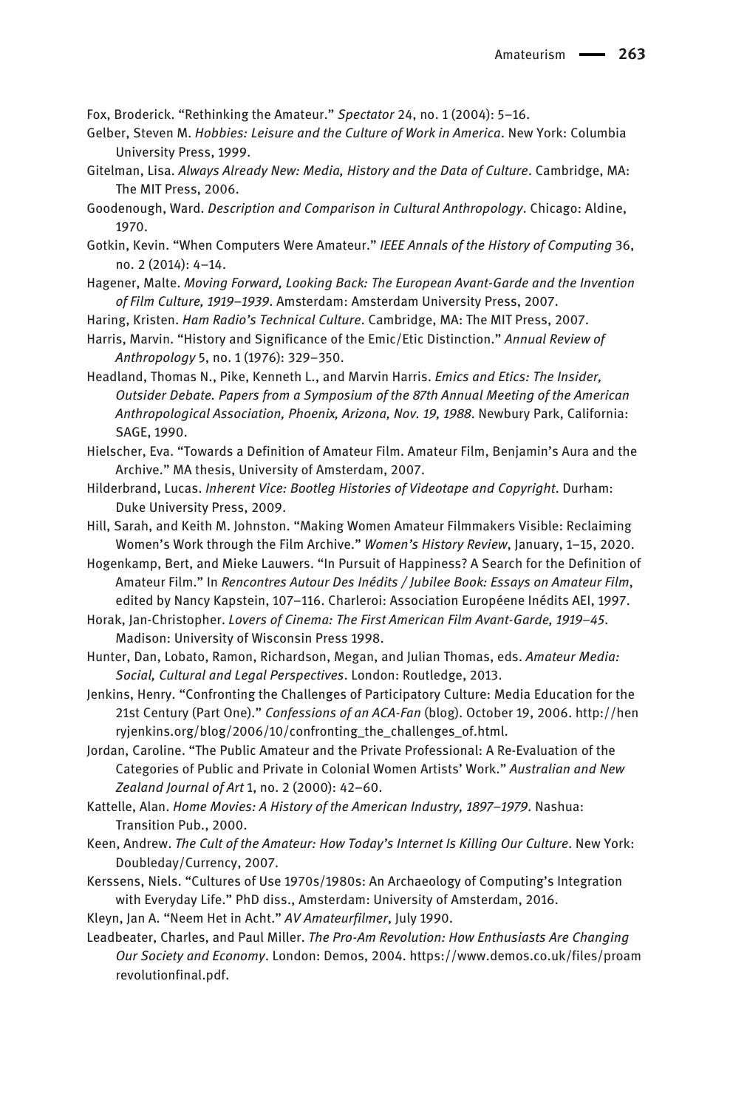Fox, Broderick. "Rethinking the Amateur." Spectator 24, no. 1 (2004): 5–16.

- Gelber, Steven M. Hobbies: Leisure and the Culture of Work in America. New York: Columbia University Press, 1999.
- Gitelman, Lisa. Always Already New: Media, History and the Data of Culture. Cambridge, MA: The MIT Press, 2006.
- Goodenough, Ward. Description and Comparison in Cultural Anthropology. Chicago: Aldine, 1970.
- Gotkin, Kevin. "When Computers Were Amateur." IEEE Annals of the History of Computing 36, no. 2 (2014): 4–14.
- Hagener, Malte. Moving Forward, Looking Back: The European Avant-Garde and the Invention of Film Culture, 1919–1939. Amsterdam: Amsterdam University Press, 2007.
- Haring, Kristen. Ham Radio's Technical Culture. Cambridge, MA: The MIT Press, 2007.
- Harris, Marvin. "History and Significance of the Emic/Etic Distinction." Annual Review of Anthropology 5, no. 1 (1976): 329–350.
- Headland, Thomas N., Pike, Kenneth L., and Marvin Harris. Emics and Etics: The Insider, Outsider Debate. Papers from a Symposium of the 87th Annual Meeting of the American Anthropological Association, Phoenix, Arizona, Nov. 19, 1988. Newbury Park, California: SAGE, 1990.
- Hielscher, Eva. "Towards a Definition of Amateur Film. Amateur Film, Benjamin's Aura and the Archive." MA thesis, University of Amsterdam, 2007.
- Hilderbrand, Lucas. Inherent Vice: Bootleg Histories of Videotape and Copyright. Durham: Duke University Press, 2009.
- Hill, Sarah, and Keith M. Johnston. "Making Women Amateur Filmmakers Visible: Reclaiming Women's Work through the Film Archive." Women's History Review, January, 1–15, 2020.
- Hogenkamp, Bert, and Mieke Lauwers. "In Pursuit of Happiness? A Search for the Definition of Amateur Film." In Rencontres Autour Des Inédits / Jubilee Book: Essays on Amateur Film, edited by Nancy Kapstein, 107–116. Charleroi: Association Européene Inédits AEI, 1997.
- Horak, Jan-Christopher. Lovers of Cinema: The First American Film Avant-Garde, 1919–45. Madison: University of Wisconsin Press 1998.
- Hunter, Dan, Lobato, Ramon, Richardson, Megan, and Julian Thomas, eds. Amateur Media: Social, Cultural and Legal Perspectives. London: Routledge, 2013.
- Jenkins, Henry. "Confronting the Challenges of Participatory Culture: Media Education for the 21st Century (Part One)." Confessions of an ACA-Fan (blog). October 19, 2006. [http://hen](http://henryjenkins.org/blog/2006/10/confronting_the_challenges_of.html) ryjenkins.org/blog/2006/10/confronting the challenges of.html.
- Jordan, Caroline. "The Public Amateur and the Private Professional: A Re-Evaluation of the Categories of Public and Private in Colonial Women Artists' Work." Australian and New Zealand Journal of Art 1, no. 2 (2000): 42–60.
- Kattelle, Alan. Home Movies: A History of the American Industry, 1897–1979. Nashua: Transition Pub., 2000.
- Keen, Andrew. The Cult of the Amateur: How Today's Internet Is Killing Our Culture. New York: Doubleday/Currency, 2007.
- Kerssens, Niels. "Cultures of Use 1970s/1980s: An Archaeology of Computing's Integration with Everyday Life." PhD diss., Amsterdam: University of Amsterdam, 2016.
- Kleyn, Jan A. "Neem Het in Acht." AV Amateurfilmer, July 1990.
- Leadbeater, Charles, and Paul Miller. The Pro-Am Revolution: How Enthusiasts Are Changing Our Society and Economy. London: Demos, 2004. [https://www.demos.co.uk/files/proam](https://www.demos.co.uk/files/proamrevolutionfinal.pdf) [revolutionfinal.pdf.](https://www.demos.co.uk/files/proamrevolutionfinal.pdf)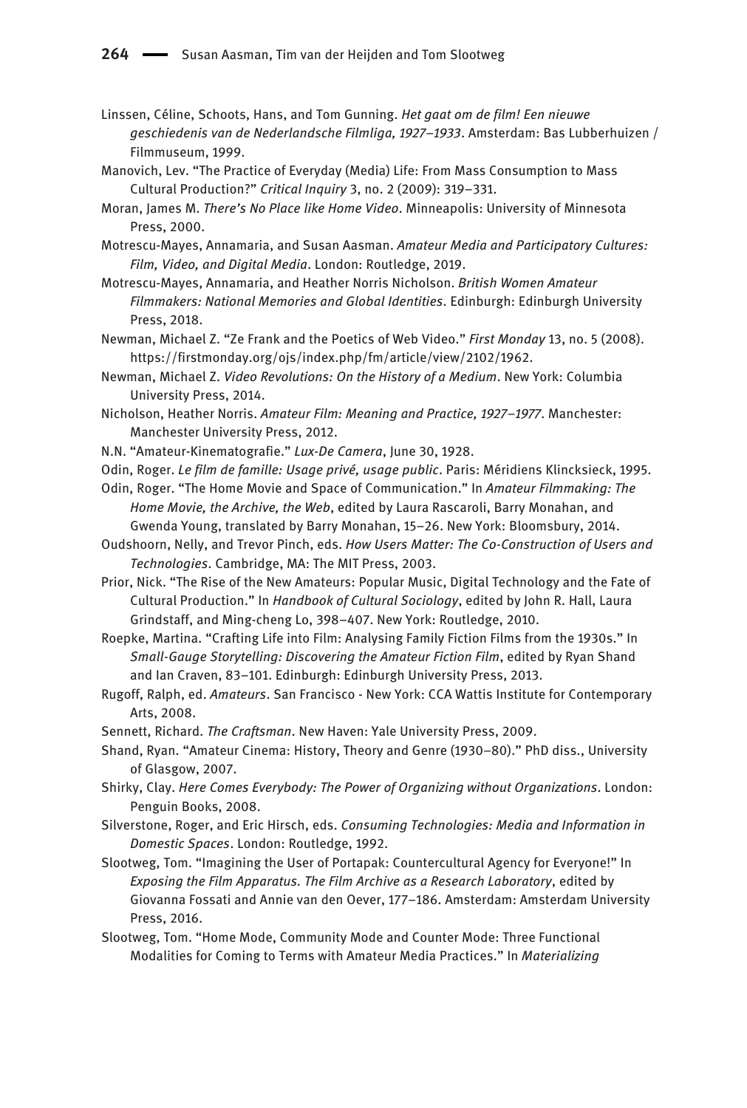- Linssen, Céline, Schoots, Hans, and Tom Gunning. Het gaat om de film! Een nieuwe geschiedenis van de Nederlandsche Filmliga, 1927–1933. Amsterdam: Bas Lubberhuizen / Filmmuseum, 1999.
- Manovich, Lev. "The Practice of Everyday (Media) Life: From Mass Consumption to Mass Cultural Production?" Critical Inquiry 3, no. 2 (2009): 319–331.
- Moran, James M. There's No Place like Home Video. Minneapolis: University of Minnesota Press, 2000.
- Motrescu-Mayes, Annamaria, and Susan Aasman. Amateur Media and Participatory Cultures: Film, Video, and Digital Media. London: Routledge, 2019.
- Motrescu-Mayes, Annamaria, and Heather Norris Nicholson. British Women Amateur Filmmakers: National Memories and Global Identities. Edinburgh: Edinburgh University Press, 2018.
- Newman, Michael Z. "Ze Frank and the Poetics of Web Video." First Monday 13, no. 5 (2008). <https://firstmonday.org/ojs/index.php/fm/article/view/2102/1962>.
- Newman, Michael Z. Video Revolutions: On the History of a Medium. New York: Columbia University Press, 2014.
- Nicholson, Heather Norris. Amateur Film: Meaning and Practice, 1927–1977. Manchester: Manchester University Press, 2012.
- N.N. "Amateur-Kinematografie." Lux-De Camera, June 30, 1928.
- Odin, Roger. Le film de famille: Usage privé, usage public. Paris: Méridiens Klincksieck, 1995.
- Odin, Roger. "The Home Movie and Space of Communication." In Amateur Filmmaking: The Home Movie, the Archive, the Web, edited by Laura Rascaroli, Barry Monahan, and Gwenda Young, translated by Barry Monahan, 15–26. New York: Bloomsbury, 2014.
- Oudshoorn, Nelly, and Trevor Pinch, eds. How Users Matter: The Co-Construction of Users and Technologies. Cambridge, MA: The MIT Press, 2003.
- Prior, Nick. "The Rise of the New Amateurs: Popular Music, Digital Technology and the Fate of Cultural Production." In Handbook of Cultural Sociology, edited by John R. Hall, Laura Grindstaff, and Ming-cheng Lo, 398–407. New York: Routledge, 2010.
- Roepke, Martina. "Crafting Life into Film: Analysing Family Fiction Films from the 1930s." In Small-Gauge Storytelling: Discovering the Amateur Fiction Film, edited by Ryan Shand and Ian Craven, 83–101. Edinburgh: Edinburgh University Press, 2013.
- Rugoff, Ralph, ed. Amateurs. San Francisco New York: CCA Wattis Institute for Contemporary Arts, 2008.
- Sennett, Richard. The Craftsman. New Haven: Yale University Press, 2009.
- Shand, Ryan. "Amateur Cinema: History, Theory and Genre (1930–80)." PhD diss., University of Glasgow, 2007.
- Shirky, Clay. Here Comes Everybody: The Power of Organizing without Organizations. London: Penguin Books, 2008.
- Silverstone, Roger, and Eric Hirsch, eds. Consuming Technologies: Media and Information in Domestic Spaces. London: Routledge, 1992.
- Slootweg, Tom. "Imagining the User of Portapak: Countercultural Agency for Everyone!" In Exposing the Film Apparatus. The Film Archive as a Research Laboratory, edited by Giovanna Fossati and Annie van den Oever, 177–186. Amsterdam: Amsterdam University Press, 2016.
- Slootweg, Tom. "Home Mode, Community Mode and Counter Mode: Three Functional Modalities for Coming to Terms with Amateur Media Practices." In Materializing